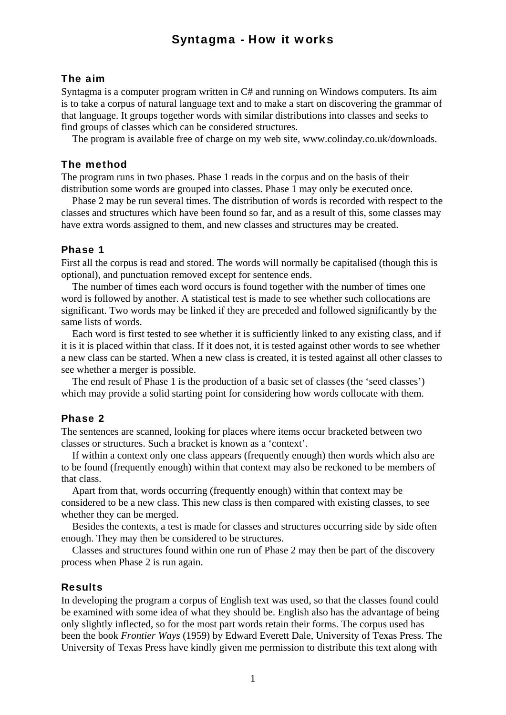# Syntagma - How it works

### The aim

Syntagma is a computer program written in C# and running on Windows computers. Its aim is to take a corpus of natural language text and to make a start on discovering the grammar of that language. It groups together words with similar distributions into classes and seeks to find groups of classes which can be considered structures.

The program is available free of charge on my web site, www.colinday.co.uk/downloads.

## The method

The program runs in two phases. Phase 1 reads in the corpus and on the basis of their distribution some words are grouped into classes. Phase 1 may only be executed once.

Phase 2 may be run several times. The distribution of words is recorded with respect to the classes and structures which have been found so far, and as a result of this, some classes may have extra words assigned to them, and new classes and structures may be created.

#### Phase 1

First all the corpus is read and stored. The words will normally be capitalised (though this is optional), and punctuation removed except for sentence ends.

The number of times each word occurs is found together with the number of times one word is followed by another. A statistical test is made to see whether such collocations are significant. Two words may be linked if they are preceded and followed significantly by the same lists of words.

Each word is first tested to see whether it is sufficiently linked to any existing class, and if it is it is placed within that class. If it does not, it is tested against other words to see whether a new class can be started. When a new class is created, it is tested against all other classes to see whether a merger is possible.

The end result of Phase 1 is the production of a basic set of classes (the 'seed classes') which may provide a solid starting point for considering how words collocate with them.

#### Phase 2

The sentences are scanned, looking for places where items occur bracketed between two classes or structures. Such a bracket is known as a 'context'.

If within a context only one class appears (frequently enough) then words which also are to be found (frequently enough) within that context may also be reckoned to be members of that class.

Apart from that, words occurring (frequently enough) within that context may be considered to be a new class. This new class is then compared with existing classes, to see whether they can be merged.

Besides the contexts, a test is made for classes and structures occurring side by side often enough. They may then be considered to be structures.

Classes and structures found within one run of Phase 2 may then be part of the discovery process when Phase 2 is run again.

#### Results

In developing the program a corpus of English text was used, so that the classes found could be examined with some idea of what they should be. English also has the advantage of being only slightly inflected, so for the most part words retain their forms. The corpus used has been the book *Frontier Ways* (1959) by Edward Everett Dale, University of Texas Press. The University of Texas Press have kindly given me permission to distribute this text along with